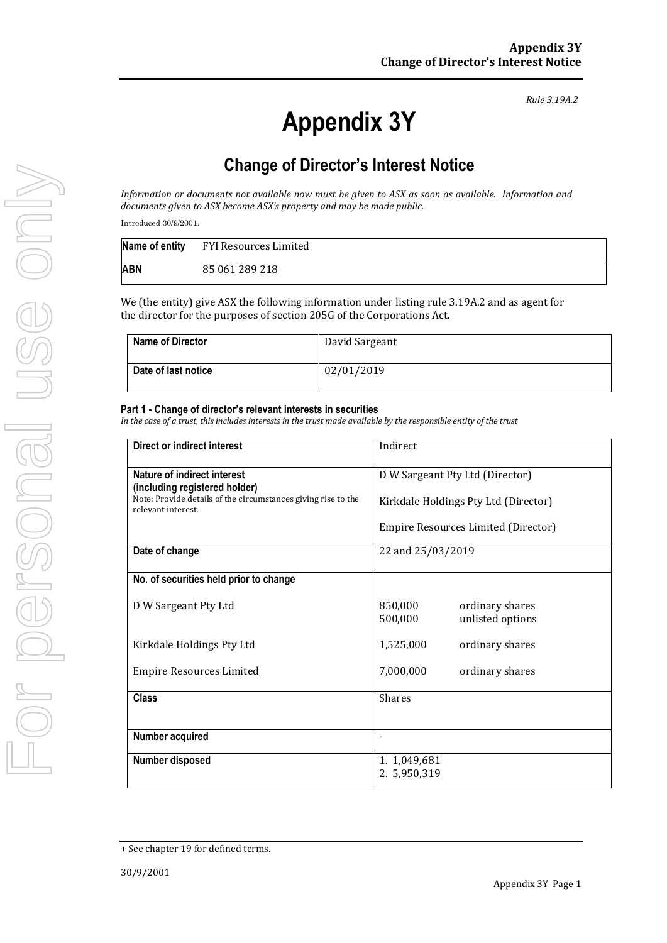# **Appendix 3Y**

*Rule 3.19A.2*

# **Change of Director's Interest Notice**

*Information or documents not available now must be given to ASX as soon as available. Information and documents given to ASX become ASX's property and may be made public.*

Introduced 30/9/2001.

|     | Name of entity FYI Resources Limited |
|-----|--------------------------------------|
| ABN | 85 061 289 218                       |

We (the entity) give ASX the following information under listing rule 3.19A.2 and as agent for the director for the purposes of section 205G of the Corporations Act.

| <b>Name of Director</b> | David Sargeant |
|-------------------------|----------------|
| Date of last notice     | 02/01/2019     |

#### **Part 1 - Change of director's relevant interests in securities**

*In the case of a trust, this includes interests in the trust made available by the responsible entity of the trust*

| Direct or indirect interest                                                         | Indirect                                                  |  |
|-------------------------------------------------------------------------------------|-----------------------------------------------------------|--|
| Nature of indirect interest<br>(including registered holder)                        | D W Sargeant Pty Ltd (Director)                           |  |
| Note: Provide details of the circumstances giving rise to the<br>relevant interest. | Kirkdale Holdings Pty Ltd (Director)                      |  |
|                                                                                     | Empire Resources Limited (Director)                       |  |
| Date of change                                                                      | 22 and 25/03/2019                                         |  |
| No. of securities held prior to change                                              |                                                           |  |
| D W Sargeant Pty Ltd                                                                | 850,000<br>ordinary shares<br>500,000<br>unlisted options |  |
| Kirkdale Holdings Pty Ltd                                                           | 1,525,000<br>ordinary shares                              |  |
| Empire Resources Limited                                                            | 7,000,000<br>ordinary shares                              |  |
| <b>Class</b>                                                                        | <b>Shares</b>                                             |  |
|                                                                                     |                                                           |  |
| Number acquired                                                                     | $\overline{\phantom{0}}$                                  |  |
| Number disposed                                                                     | 1. 1,049,681<br>2. 5,950,319                              |  |

<sup>+</sup> See chapter 19 for defined terms.